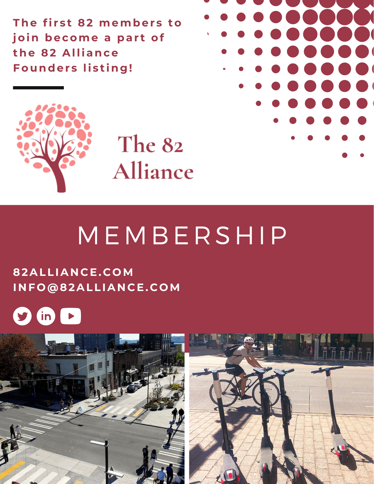**The fi r s t 82 member s to join become a par t of the 82 Alliance founders listing!** 



The 82 Alliance

## MEMBERSHIP

### **82ALLIA N C E. C OM I N F O@82ALLIA N C E. C OM**



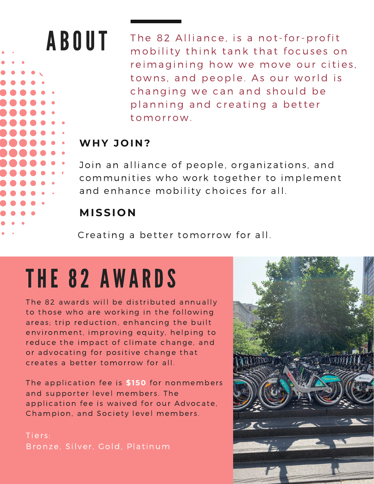## ABOUT

The 82 Alliance, is a not-for-profit mobility think tank that focuses on reimagining how we move our cities, towns, and people. As our world is changing we can and should be planning and creating a better tomorro w .

### **WH Y J O I N ?**

Join an alliance of people, organizations, and communities who work together to implement and enhance mobility choices for all.

## **MISSI O N**

Creating a better tomorrow for all.

# THE 82 A W ARDS

The 82 awards will be distributed annually to those who are working in the following areas; trip reduction, enhancing the built environment, improving equity, helping to reduce the impact of climate change, and or advocating for positive change that creates a better tomorrow for all.

The application fee is \$150 for nonmembers and supporter level members. The application fee is waived for our Advocate, Champion, and Society level members.

Tiers: Bronze, Silver, Gold, Platinum